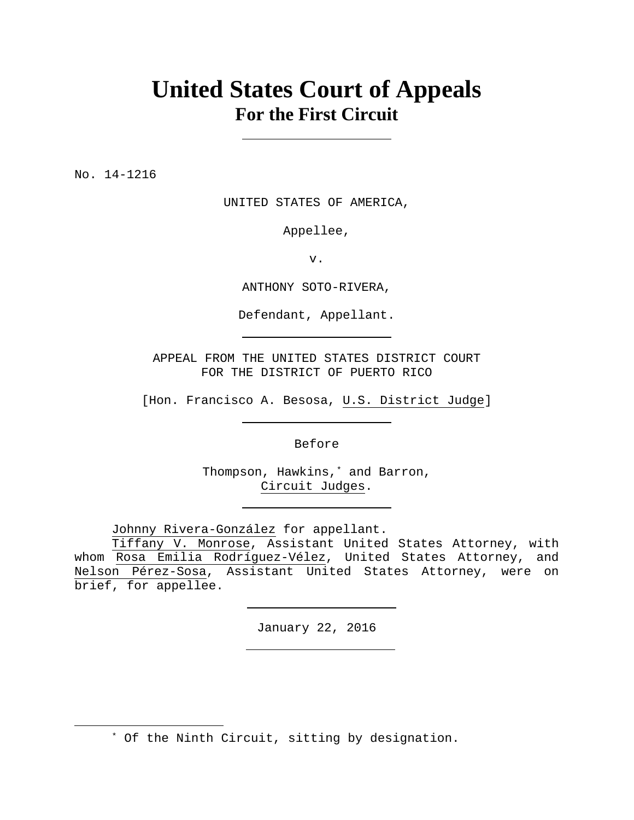# **United States Court of Appeals For the First Circuit**

No. 14-1216

 $\overline{a}$ 

UNITED STATES OF AMERICA,

Appellee,

v.

ANTHONY SOTO-RIVERA,

Defendant, Appellant.

APPEAL FROM THE UNITED STATES DISTRICT COURT FOR THE DISTRICT OF PUERTO RICO

[Hon. Francisco A. Besosa, U.S. District Judge]

Before

Thompson, Hawkins,\* and Barron, Circuit Judges.

Johnny Rivera-González for appellant.

 Tiffany V. Monrose, Assistant United States Attorney, with whom Rosa Emilia Rodríguez-Vélez, United States Attorney, and Nelson Pérez-Sosa, Assistant United States Attorney, were on brief, for appellee.

January 22, 2016

\* Of the Ninth Circuit, sitting by designation.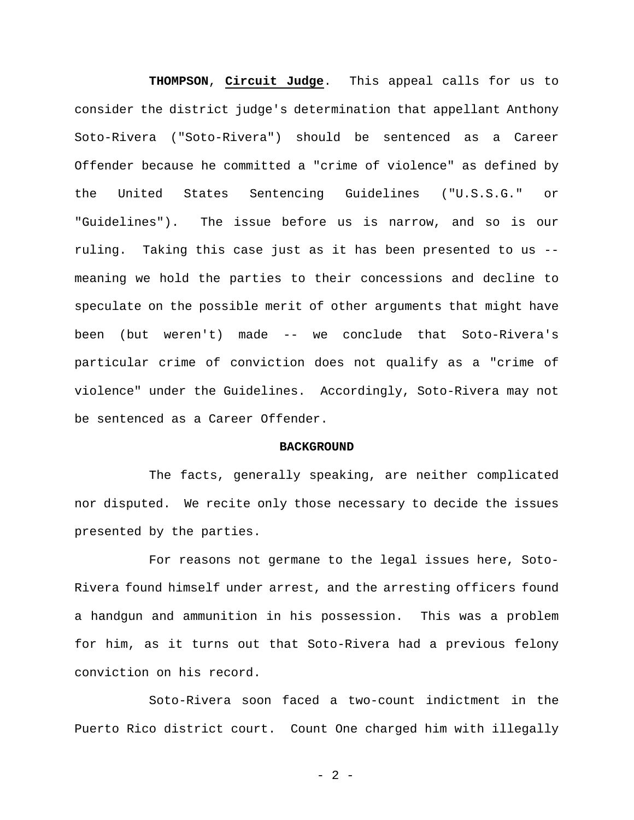**THOMPSON**, **Circuit Judge**. This appeal calls for us to consider the district judge's determination that appellant Anthony Soto-Rivera ("Soto-Rivera") should be sentenced as a Career Offender because he committed a "crime of violence" as defined by the United States Sentencing Guidelines ("U.S.S.G." or "Guidelines"). The issue before us is narrow, and so is our ruling. Taking this case just as it has been presented to us - meaning we hold the parties to their concessions and decline to speculate on the possible merit of other arguments that might have been (but weren't) made -- we conclude that Soto-Rivera's particular crime of conviction does not qualify as a "crime of violence" under the Guidelines. Accordingly, Soto-Rivera may not be sentenced as a Career Offender.

#### **BACKGROUND**

The facts, generally speaking, are neither complicated nor disputed. We recite only those necessary to decide the issues presented by the parties.

For reasons not germane to the legal issues here, Soto-Rivera found himself under arrest, and the arresting officers found a handgun and ammunition in his possession. This was a problem for him, as it turns out that Soto-Rivera had a previous felony conviction on his record.

Soto-Rivera soon faced a two-count indictment in the Puerto Rico district court. Count One charged him with illegally

- 2 -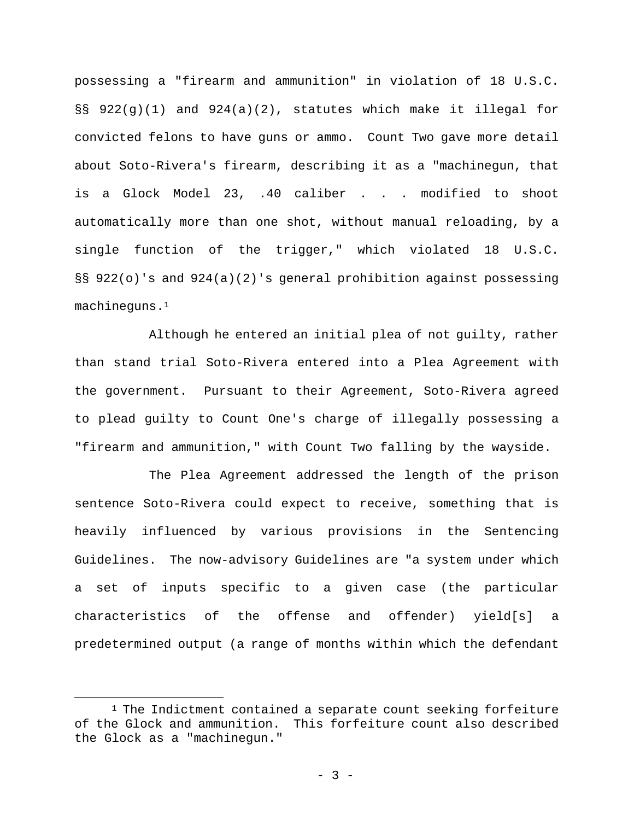possessing a "firearm and ammunition" in violation of 18 U.S.C. §§ 922(g)(1) and 924(a)(2), statutes which make it illegal for convicted felons to have guns or ammo. Count Two gave more detail about Soto-Rivera's firearm, describing it as a "machinegun, that is a Glock Model 23, .40 caliber . . . modified to shoot automatically more than one shot, without manual reloading, by a single function of the trigger," which violated 18 U.S.C. §§ 922(o)'s and 924(a)(2)'s general prohibition against possessing machineguns.1

Although he entered an initial plea of not guilty, rather than stand trial Soto-Rivera entered into a Plea Agreement with the government. Pursuant to their Agreement, Soto-Rivera agreed to plead guilty to Count One's charge of illegally possessing a "firearm and ammunition," with Count Two falling by the wayside.

The Plea Agreement addressed the length of the prison sentence Soto-Rivera could expect to receive, something that is heavily influenced by various provisions in the Sentencing Guidelines. The now-advisory Guidelines are "a system under which a set of inputs specific to a given case (the particular characteristics of the offense and offender) yield[s] a predetermined output (a range of months within which the defendant

 $1$  The Indictment contained a separate count seeking forfeiture of the Glock and ammunition. This forfeiture count also described the Glock as a "machinegun."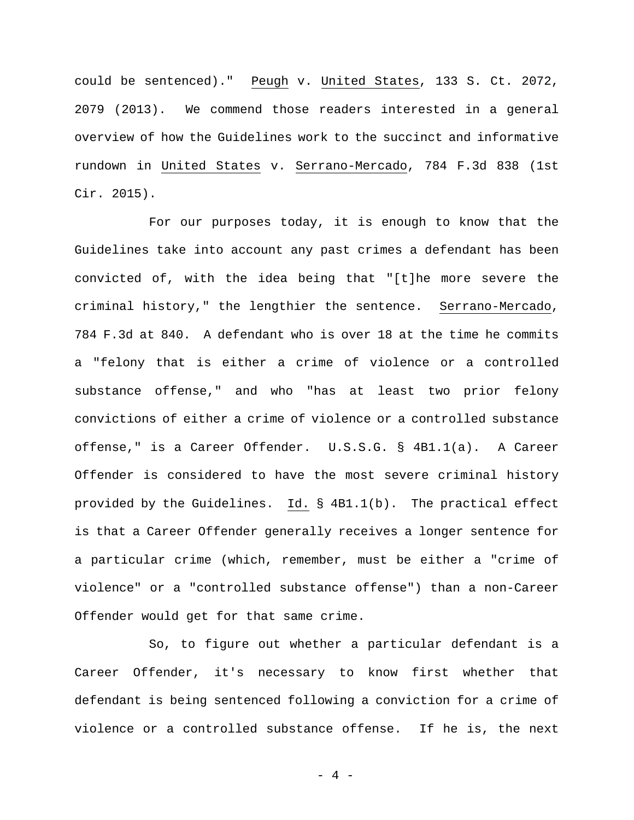could be sentenced)." Peugh v. United States, 133 S. Ct. 2072, 2079 (2013). We commend those readers interested in a general overview of how the Guidelines work to the succinct and informative rundown in United States v. Serrano-Mercado, 784 F.3d 838 (1st Cir. 2015).

For our purposes today, it is enough to know that the Guidelines take into account any past crimes a defendant has been convicted of, with the idea being that "[t]he more severe the criminal history," the lengthier the sentence. Serrano-Mercado, 784 F.3d at 840. A defendant who is over 18 at the time he commits a "felony that is either a crime of violence or a controlled substance offense," and who "has at least two prior felony convictions of either a crime of violence or a controlled substance offense," is a Career Offender. U.S.S.G. § 4B1.1(a). A Career Offender is considered to have the most severe criminal history provided by the Guidelines. Id. § 4B1.1(b). The practical effect is that a Career Offender generally receives a longer sentence for a particular crime (which, remember, must be either a "crime of violence" or a "controlled substance offense") than a non-Career Offender would get for that same crime.

So, to figure out whether a particular defendant is a Career Offender, it's necessary to know first whether that defendant is being sentenced following a conviction for a crime of violence or a controlled substance offense. If he is, the next

 $-4 -$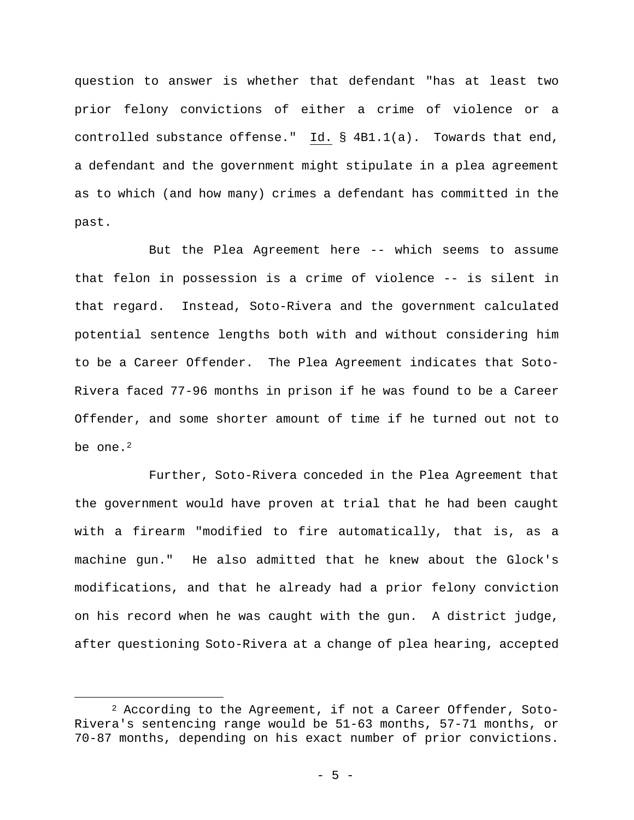question to answer is whether that defendant "has at least two prior felony convictions of either a crime of violence or a controlled substance offense." Id. § 4B1.1(a). Towards that end, a defendant and the government might stipulate in a plea agreement as to which (and how many) crimes a defendant has committed in the past.

But the Plea Agreement here -- which seems to assume that felon in possession is a crime of violence -- is silent in that regard. Instead, Soto-Rivera and the government calculated potential sentence lengths both with and without considering him to be a Career Offender. The Plea Agreement indicates that Soto-Rivera faced 77-96 months in prison if he was found to be a Career Offender, and some shorter amount of time if he turned out not to be one. $2$ 

Further, Soto-Rivera conceded in the Plea Agreement that the government would have proven at trial that he had been caught with a firearm "modified to fire automatically, that is, as a machine gun." He also admitted that he knew about the Glock's modifications, and that he already had a prior felony conviction on his record when he was caught with the gun. A district judge, after questioning Soto-Rivera at a change of plea hearing, accepted

<sup>2</sup> According to the Agreement, if not a Career Offender, Soto-Rivera's sentencing range would be 51-63 months, 57-71 months, or 70-87 months, depending on his exact number of prior convictions.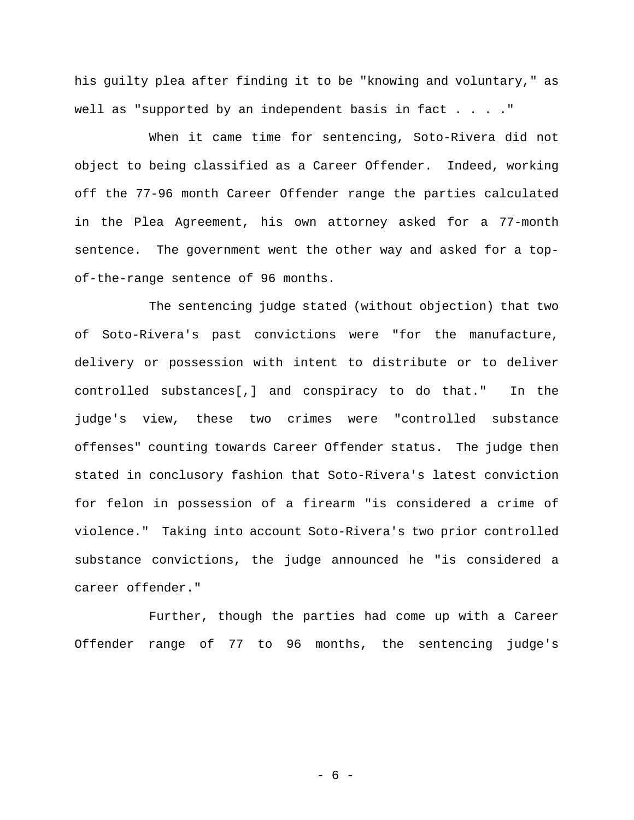his guilty plea after finding it to be "knowing and voluntary," as well as "supported by an independent basis in fact  $\ldots$ ."

When it came time for sentencing, Soto-Rivera did not object to being classified as a Career Offender. Indeed, working off the 77-96 month Career Offender range the parties calculated in the Plea Agreement, his own attorney asked for a 77-month sentence. The government went the other way and asked for a topof-the-range sentence of 96 months.

The sentencing judge stated (without objection) that two of Soto-Rivera's past convictions were "for the manufacture, delivery or possession with intent to distribute or to deliver controlled substances[,] and conspiracy to do that." In the judge's view, these two crimes were "controlled substance offenses" counting towards Career Offender status. The judge then stated in conclusory fashion that Soto-Rivera's latest conviction for felon in possession of a firearm "is considered a crime of violence." Taking into account Soto-Rivera's two prior controlled substance convictions, the judge announced he "is considered a career offender."

Further, though the parties had come up with a Career Offender range of 77 to 96 months, the sentencing judge's

- 6 -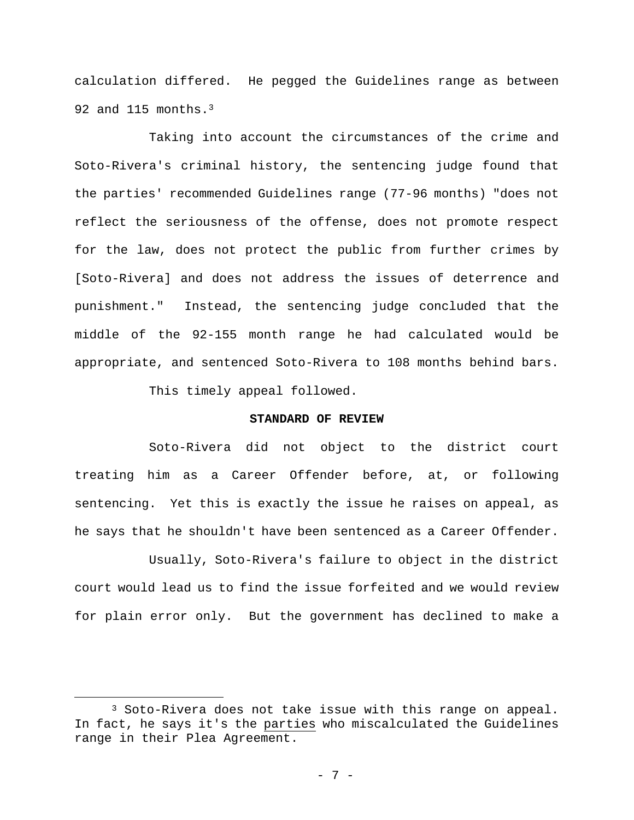calculation differed. He pegged the Guidelines range as between 92 and 115 months.3

Taking into account the circumstances of the crime and Soto-Rivera's criminal history, the sentencing judge found that the parties' recommended Guidelines range (77-96 months) "does not reflect the seriousness of the offense, does not promote respect for the law, does not protect the public from further crimes by [Soto-Rivera] and does not address the issues of deterrence and punishment." Instead, the sentencing judge concluded that the middle of the 92-155 month range he had calculated would be appropriate, and sentenced Soto-Rivera to 108 months behind bars.

This timely appeal followed.

 $\overline{a}$ 

## **STANDARD OF REVIEW**

Soto-Rivera did not object to the district court treating him as a Career Offender before, at, or following sentencing. Yet this is exactly the issue he raises on appeal, as he says that he shouldn't have been sentenced as a Career Offender.

Usually, Soto-Rivera's failure to object in the district court would lead us to find the issue forfeited and we would review for plain error only. But the government has declined to make a

<sup>3</sup> Soto-Rivera does not take issue with this range on appeal. In fact, he says it's the parties who miscalculated the Guidelines range in their Plea Agreement.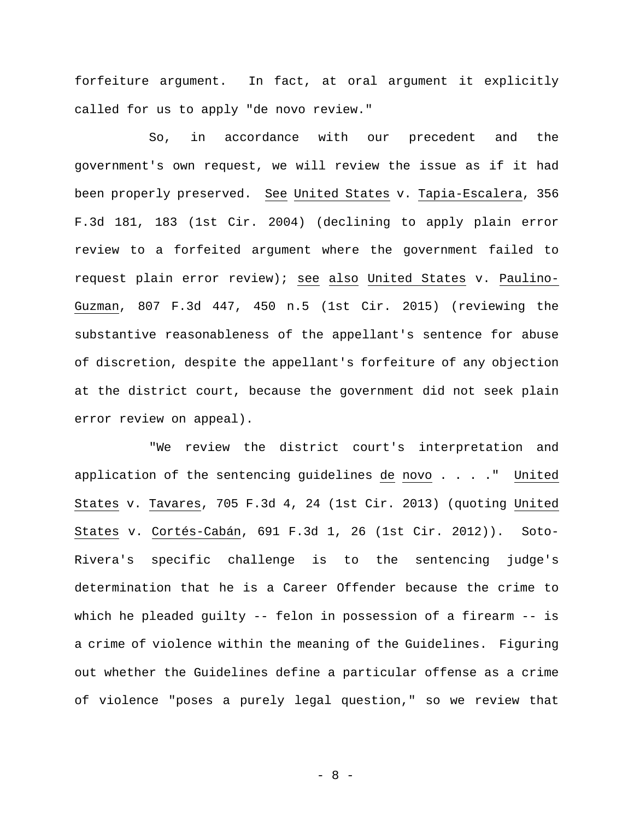forfeiture argument. In fact, at oral argument it explicitly called for us to apply "de novo review."

So, in accordance with our precedent and the government's own request, we will review the issue as if it had been properly preserved. See United States v. Tapia-Escalera, 356 F.3d 181, 183 (1st Cir. 2004) (declining to apply plain error review to a forfeited argument where the government failed to request plain error review); see also United States v. Paulino-Guzman, 807 F.3d 447, 450 n.5 (1st Cir. 2015) (reviewing the substantive reasonableness of the appellant's sentence for abuse of discretion, despite the appellant's forfeiture of any objection at the district court, because the government did not seek plain error review on appeal).

"We review the district court's interpretation and application of the sentencing guidelines de novo . . . ." United States v. Tavares, 705 F.3d 4, 24 (1st Cir. 2013) (quoting United States v. Cortés-Cabán, 691 F.3d 1, 26 (1st Cir. 2012)). Soto-Rivera's specific challenge is to the sentencing judge's determination that he is a Career Offender because the crime to which he pleaded guilty -- felon in possession of a firearm -- is a crime of violence within the meaning of the Guidelines. Figuring out whether the Guidelines define a particular offense as a crime of violence "poses a purely legal question," so we review that

- 8 -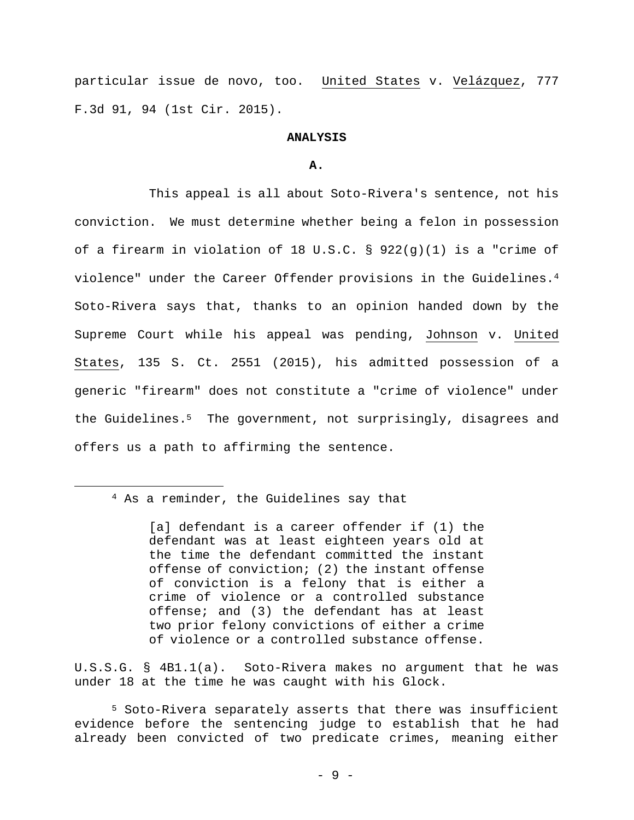particular issue de novo, too. United States v. Velázquez, 777 F.3d 91, 94 (1st Cir. 2015).

## **ANALYSIS**

#### **A.**

This appeal is all about Soto-Rivera's sentence, not his conviction. We must determine whether being a felon in possession of a firearm in violation of 18 U.S.C. § 922(g)(1) is a "crime of violence" under the Career Offender provisions in the Guidelines.4 Soto-Rivera says that, thanks to an opinion handed down by the Supreme Court while his appeal was pending, Johnson v. United States, 135 S. Ct. 2551 (2015), his admitted possession of a generic "firearm" does not constitute a "crime of violence" under the Guidelines.<sup>5</sup> The government, not surprisingly, disagrees and offers us a path to affirming the sentence.

# 4 As a reminder, the Guidelines say that

 $\overline{a}$ 

[a] defendant is a career offender if (1) the defendant was at least eighteen years old at the time the defendant committed the instant offense of conviction; (2) the instant offense of conviction is a felony that is either a crime of violence or a controlled substance offense; and (3) the defendant has at least two prior felony convictions of either a crime of violence or a controlled substance offense.

U.S.S.G. § 4B1.1(a). Soto-Rivera makes no argument that he was under 18 at the time he was caught with his Glock.

5 Soto-Rivera separately asserts that there was insufficient evidence before the sentencing judge to establish that he had already been convicted of two predicate crimes, meaning either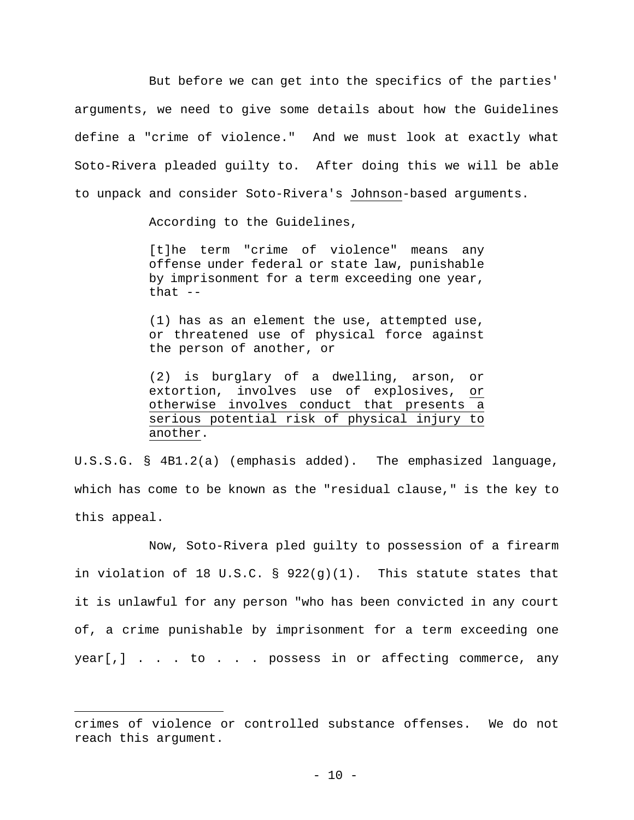But before we can get into the specifics of the parties' arguments, we need to give some details about how the Guidelines define a "crime of violence." And we must look at exactly what Soto-Rivera pleaded guilty to. After doing this we will be able to unpack and consider Soto-Rivera's Johnson-based arguments.

According to the Guidelines,

[t]he term "crime of violence" means any offense under federal or state law, punishable by imprisonment for a term exceeding one year, that  $--$ 

(1) has as an element the use, attempted use, or threatened use of physical force against the person of another, or

(2) is burglary of a dwelling, arson, or extortion, involves use of explosives, or otherwise involves conduct that presents a serious potential risk of physical injury to another.

U.S.S.G. § 4B1.2(a) (emphasis added). The emphasized language, which has come to be known as the "residual clause," is the key to this appeal.

Now, Soto-Rivera pled guilty to possession of a firearm in violation of 18 U.S.C. §  $922(g)(1)$ . This statute states that it is unlawful for any person "who has been convicted in any court of, a crime punishable by imprisonment for a term exceeding one year[,] . . . to . . . possess in or affecting commerce, any

crimes of violence or controlled substance offenses. We do not reach this argument.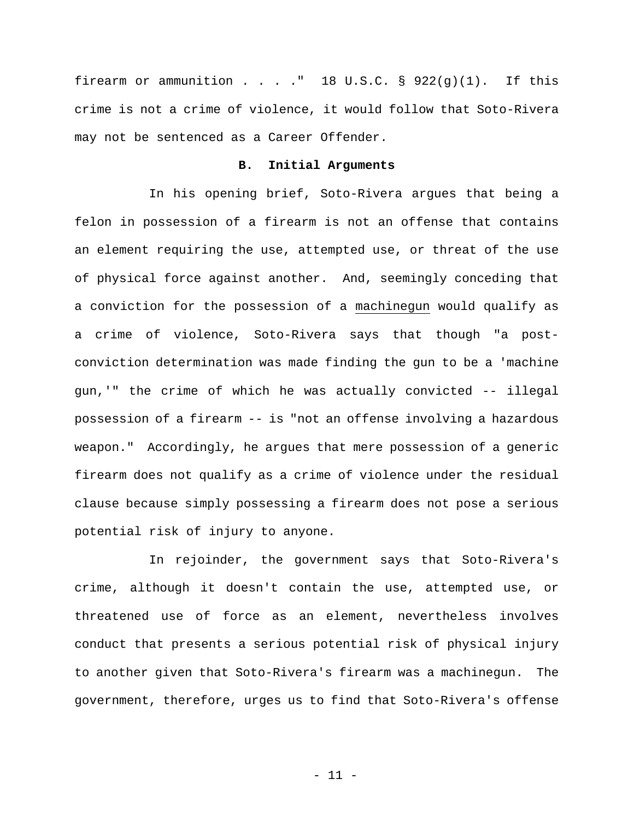firearm or ammunition . . . . " 18 U.S.C.  $\S$  922(g)(1). If this crime is not a crime of violence, it would follow that Soto-Rivera may not be sentenced as a Career Offender.

## **B. Initial Arguments**

In his opening brief, Soto-Rivera argues that being a felon in possession of a firearm is not an offense that contains an element requiring the use, attempted use, or threat of the use of physical force against another. And, seemingly conceding that a conviction for the possession of a machinegun would qualify as a crime of violence, Soto-Rivera says that though "a postconviction determination was made finding the gun to be a 'machine gun,'" the crime of which he was actually convicted -- illegal possession of a firearm -- is "not an offense involving a hazardous weapon." Accordingly, he argues that mere possession of a generic firearm does not qualify as a crime of violence under the residual clause because simply possessing a firearm does not pose a serious potential risk of injury to anyone.

In rejoinder, the government says that Soto-Rivera's crime, although it doesn't contain the use, attempted use, or threatened use of force as an element, nevertheless involves conduct that presents a serious potential risk of physical injury to another given that Soto-Rivera's firearm was a machinegun. The government, therefore, urges us to find that Soto-Rivera's offense

- 11 -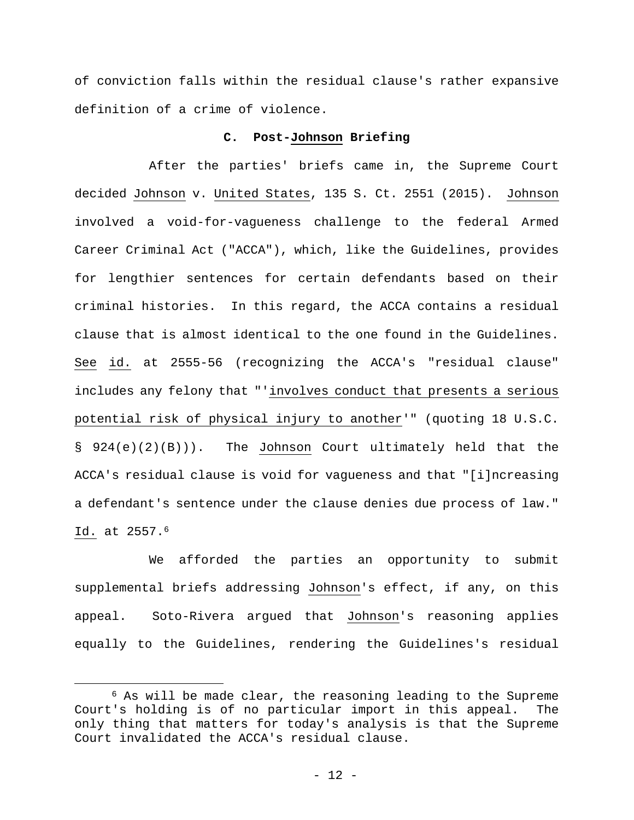of conviction falls within the residual clause's rather expansive definition of a crime of violence.

## **C. Post-Johnson Briefing**

After the parties' briefs came in, the Supreme Court decided Johnson v. United States, 135 S. Ct. 2551 (2015). Johnson involved a void-for-vagueness challenge to the federal Armed Career Criminal Act ("ACCA"), which, like the Guidelines, provides for lengthier sentences for certain defendants based on their criminal histories. In this regard, the ACCA contains a residual clause that is almost identical to the one found in the Guidelines. See id. at 2555-56 (recognizing the ACCA's "residual clause" includes any felony that "'involves conduct that presents a serious potential risk of physical injury to another'" (quoting 18 U.S.C. § 924(e)(2)(B))). The Johnson Court ultimately held that the ACCA's residual clause is void for vagueness and that "[i]ncreasing a defendant's sentence under the clause denies due process of law." Id. at 2557.6

We afforded the parties an opportunity to submit supplemental briefs addressing Johnson's effect, if any, on this appeal. Soto-Rivera argued that Johnson's reasoning applies equally to the Guidelines, rendering the Guidelines's residual

<sup>6</sup> As will be made clear, the reasoning leading to the Supreme Court's holding is of no particular import in this appeal. The only thing that matters for today's analysis is that the Supreme Court invalidated the ACCA's residual clause.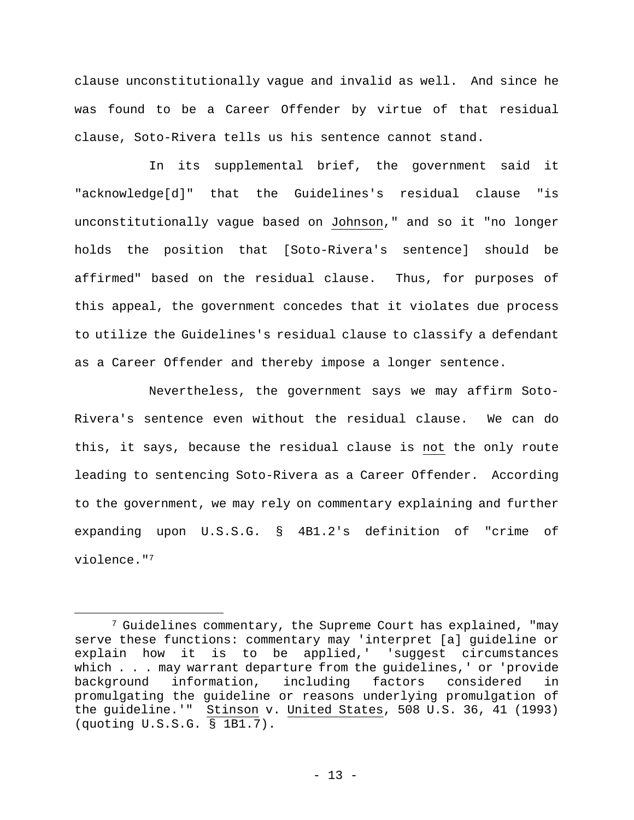clause unconstitutionally vague and invalid as well. And since he was found to be a Career Offender by virtue of that residual clause, Soto-Rivera tells us his sentence cannot stand.

In its supplemental brief, the government said it "acknowledge[d]" that the Guidelines's residual clause "is unconstitutionally vague based on Johnson," and so it "no longer holds the position that [Soto-Rivera's sentence] should be affirmed" based on the residual clause. Thus, for purposes of this appeal, the government concedes that it violates due process to utilize the Guidelines's residual clause to classify a defendant as a Career Offender and thereby impose a longer sentence.

Nevertheless, the government says we may affirm Soto-Rivera's sentence even without the residual clause. We can do this, it says, because the residual clause is not the only route leading to sentencing Soto-Rivera as a Career Offender. According to the government, we may rely on commentary explaining and further expanding upon U.S.S.G. § 4B1.2's definition of "crime of violence."7

<sup>7</sup> Guidelines commentary, the Supreme Court has explained, "may serve these functions: commentary may 'interpret [a] guideline or explain how it is to be applied,' 'suggest circumstances which . . . may warrant departure from the guidelines, ' or 'provide background information, including factors considered in promulgating the guideline or reasons underlying promulgation of the guideline.'" Stinson v. United States, 508 U.S. 36, 41 (1993) (quoting U.S.S.G. § 1B1.7).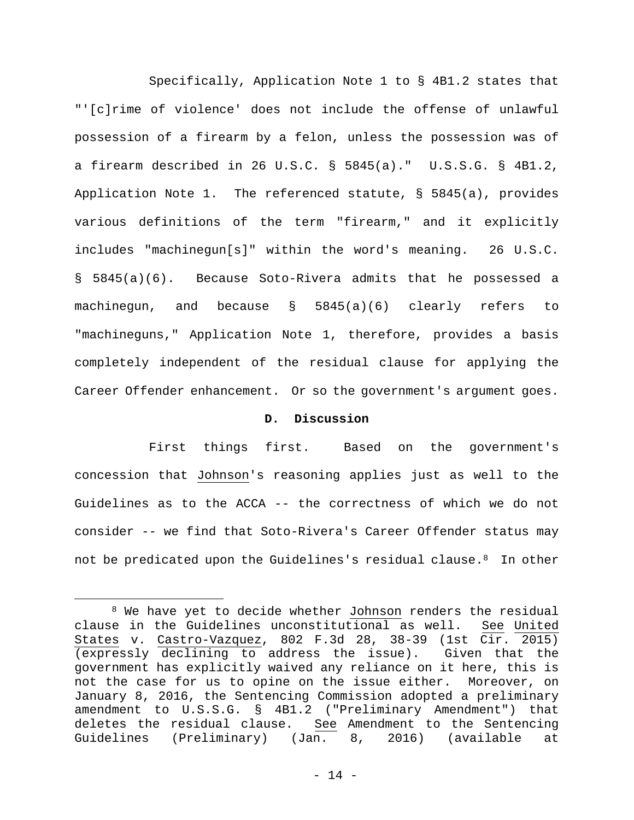Specifically, Application Note 1 to § 4B1.2 states that "'[c]rime of violence' does not include the offense of unlawful possession of a firearm by a felon, unless the possession was of a firearm described in 26 U.S.C. § 5845(a)." U.S.S.G. § 4B1.2, Application Note 1. The referenced statute, § 5845(a), provides various definitions of the term "firearm," and it explicitly includes "machinegun[s]" within the word's meaning. 26 U.S.C. § 5845(a)(6). Because Soto-Rivera admits that he possessed a machinegun, and because § 5845(a)(6) clearly refers to "machineguns," Application Note 1, therefore, provides a basis completely independent of the residual clause for applying the Career Offender enhancement. Or so the government's argument goes.

## **D. Discussion**

First things first. Based on the government's concession that Johnson's reasoning applies just as well to the Guidelines as to the ACCA -- the correctness of which we do not consider -- we find that Soto-Rivera's Career Offender status may not be predicated upon the Guidelines's residual clause.8 In other

<sup>8</sup> We have yet to decide whether Johnson renders the residual clause in the Guidelines unconstitutional as well. See United States v. Castro-Vazquez, 802 F.3d 28, 38-39 (1st Cir. 2015) (expressly declining to address the issue). Given that the government has explicitly waived any reliance on it here, this is not the case for us to opine on the issue either. Moreover, on January 8, 2016, the Sentencing Commission adopted a preliminary amendment to U.S.S.G. § 4B1.2 ("Preliminary Amendment") that deletes the residual clause. See Amendment to the Sentencing Guidelines (Preliminary) (Jan. 8, 2016) (available at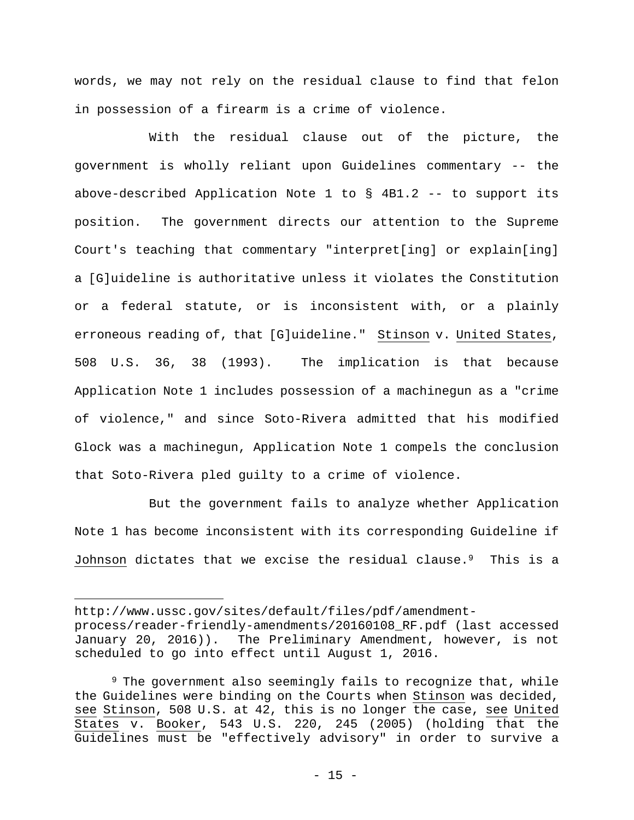words, we may not rely on the residual clause to find that felon in possession of a firearm is a crime of violence.

With the residual clause out of the picture, the government is wholly reliant upon Guidelines commentary -- the above-described Application Note  $1$  to  $§$  4B1.2 -- to support its position. The government directs our attention to the Supreme Court's teaching that commentary "interpret[ing] or explain[ing] a [G]uideline is authoritative unless it violates the Constitution or a federal statute, or is inconsistent with, or a plainly erroneous reading of, that [G]uideline." Stinson v. United States, 508 U.S. 36, 38 (1993). The implication is that because Application Note 1 includes possession of a machinegun as a "crime of violence," and since Soto-Rivera admitted that his modified Glock was a machinegun, Application Note 1 compels the conclusion that Soto-Rivera pled guilty to a crime of violence.

But the government fails to analyze whether Application Note 1 has become inconsistent with its corresponding Guideline if Johnson dictates that we excise the residual clause.9 This is a

http://www.ussc.gov/sites/default/files/pdf/amendmentprocess/reader-friendly-amendments/20160108\_RF.pdf (last accessed January 20, 2016)). The Preliminary Amendment, however, is not scheduled to go into effect until August 1, 2016.

<sup>9</sup> The government also seemingly fails to recognize that, while the Guidelines were binding on the Courts when Stinson was decided, see Stinson, 508 U.S. at 42, this is no longer the case, see United States v. Booker, 543 U.S. 220, 245 (2005) (holding that the Guidelines must be "effectively advisory" in order to survive a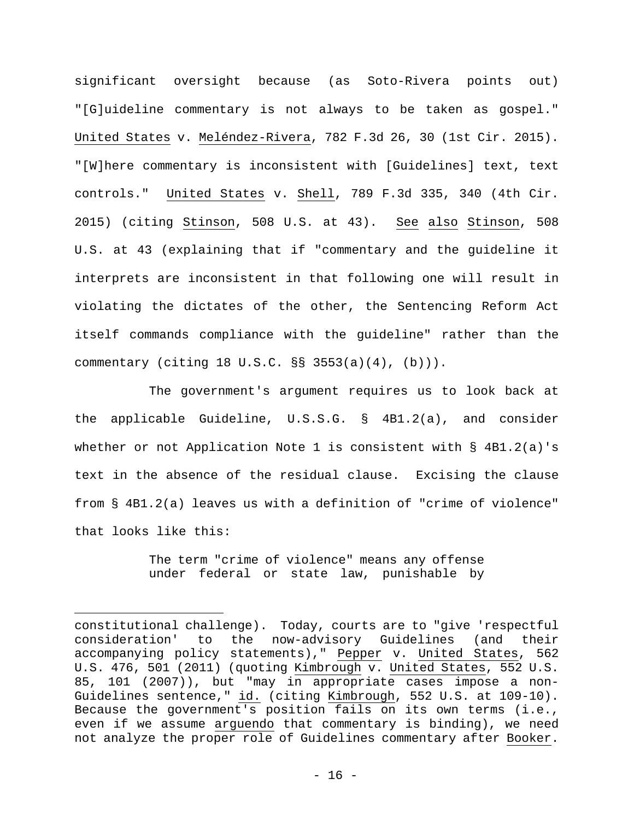significant oversight because (as Soto-Rivera points out) "[G]uideline commentary is not always to be taken as gospel." United States v. Meléndez-Rivera, 782 F.3d 26, 30 (1st Cir. 2015). "[W]here commentary is inconsistent with [Guidelines] text, text controls." United States v. Shell, 789 F.3d 335, 340 (4th Cir. 2015) (citing Stinson, 508 U.S. at 43). See also Stinson, 508 U.S. at 43 (explaining that if "commentary and the guideline it interprets are inconsistent in that following one will result in violating the dictates of the other, the Sentencing Reform Act itself commands compliance with the guideline" rather than the commentary (citing 18 U.S.C. §§ 3553(a)(4), (b))).

The government's argument requires us to look back at the applicable Guideline, U.S.S.G. § 4B1.2(a), and consider whether or not Application Note 1 is consistent with  $\S$  4B1.2(a)'s text in the absence of the residual clause. Excising the clause from § 4B1.2(a) leaves us with a definition of "crime of violence" that looks like this:

> The term "crime of violence" means any offense under federal or state law, punishable by

constitutional challenge). Today, courts are to "give 'respectful consideration' to the now-advisory Guidelines (and their accompanying policy statements)," Pepper v. United States, 562 U.S. 476, 501 (2011) (quoting Kimbrough v. United States, 552 U.S. 85, 101 (2007)), but "may in appropriate cases impose a non-Guidelines sentence," id. (citing Kimbrough, 552 U.S. at 109-10). Because the government's position fails on its own terms (i.e., even if we assume arguendo that commentary is binding), we need not analyze the proper role of Guidelines commentary after Booker.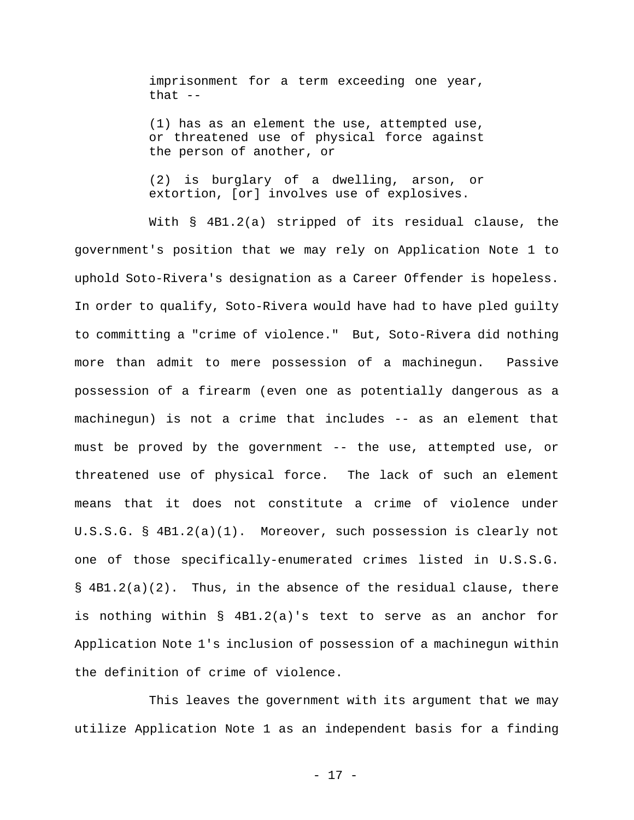imprisonment for a term exceeding one year, that  $--$ 

(1) has as an element the use, attempted use, or threatened use of physical force against the person of another, or

(2) is burglary of a dwelling, arson, or extortion, [or] involves use of explosives.

With § 4B1.2(a) stripped of its residual clause, the government's position that we may rely on Application Note 1 to uphold Soto-Rivera's designation as a Career Offender is hopeless. In order to qualify, Soto-Rivera would have had to have pled guilty to committing a "crime of violence." But, Soto-Rivera did nothing more than admit to mere possession of a machinegun. Passive possession of a firearm (even one as potentially dangerous as a machinegun) is not a crime that includes -- as an element that must be proved by the government -- the use, attempted use, or threatened use of physical force. The lack of such an element means that it does not constitute a crime of violence under U.S.S.G. § 4B1.2(a)(1). Moreover, such possession is clearly not one of those specifically-enumerated crimes listed in U.S.S.G.  $\S$  4B1.2(a)(2). Thus, in the absence of the residual clause, there is nothing within § 4B1.2(a)'s text to serve as an anchor for Application Note 1's inclusion of possession of a machinegun within the definition of crime of violence.

This leaves the government with its argument that we may utilize Application Note 1 as an independent basis for a finding

- 17 -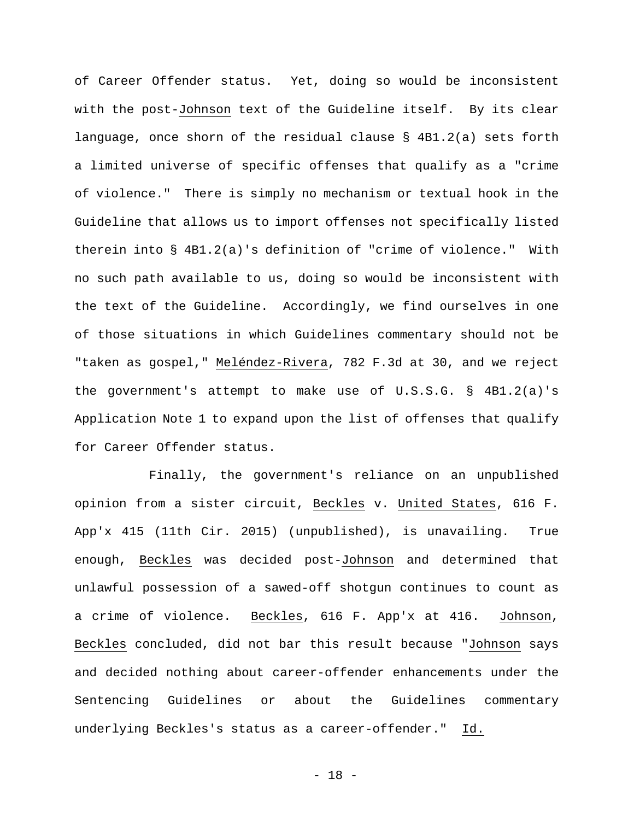of Career Offender status. Yet, doing so would be inconsistent with the post-Johnson text of the Guideline itself. By its clear language, once shorn of the residual clause § 4B1.2(a) sets forth a limited universe of specific offenses that qualify as a "crime of violence." There is simply no mechanism or textual hook in the Guideline that allows us to import offenses not specifically listed therein into § 4B1.2(a)'s definition of "crime of violence." With no such path available to us, doing so would be inconsistent with the text of the Guideline. Accordingly, we find ourselves in one of those situations in which Guidelines commentary should not be "taken as gospel," Meléndez-Rivera, 782 F.3d at 30, and we reject the government's attempt to make use of U.S.S.G. § 4B1.2(a)'s Application Note 1 to expand upon the list of offenses that qualify for Career Offender status.

Finally, the government's reliance on an unpublished opinion from a sister circuit, Beckles v. United States, 616 F. App'x 415 (11th Cir. 2015) (unpublished), is unavailing. True enough, Beckles was decided post-Johnson and determined that unlawful possession of a sawed-off shotgun continues to count as a crime of violence. Beckles, 616 F. App'x at 416. Johnson, Beckles concluded, did not bar this result because "Johnson says and decided nothing about career-offender enhancements under the Sentencing Guidelines or about the Guidelines commentary underlying Beckles's status as a career-offender." Id.

- 18 -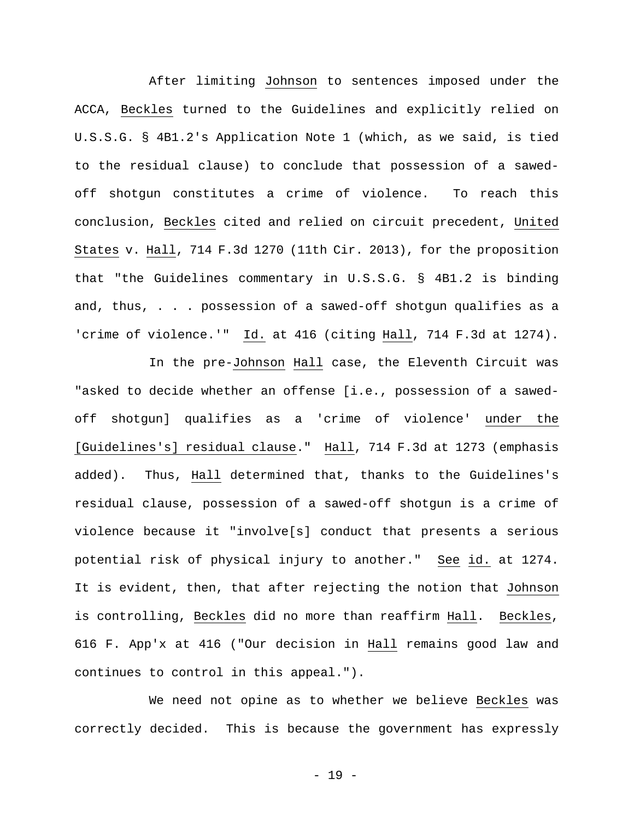After limiting Johnson to sentences imposed under the ACCA, Beckles turned to the Guidelines and explicitly relied on U.S.S.G. § 4B1.2's Application Note 1 (which, as we said, is tied to the residual clause) to conclude that possession of a sawedoff shotgun constitutes a crime of violence. To reach this conclusion, Beckles cited and relied on circuit precedent, United States v. Hall, 714 F.3d 1270 (11th Cir. 2013), for the proposition that "the Guidelines commentary in U.S.S.G. § 4B1.2 is binding and, thus, . . . possession of a sawed-off shotgun qualifies as a 'crime of violence.'" Id. at 416 (citing Hall, 714 F.3d at 1274).

In the pre-Johnson Hall case, the Eleventh Circuit was "asked to decide whether an offense [i.e., possession of a sawedoff shotgun] qualifies as a 'crime of violence' under the [Guidelines's] residual clause." Hall, 714 F.3d at 1273 (emphasis added). Thus, Hall determined that, thanks to the Guidelines's residual clause, possession of a sawed-off shotgun is a crime of violence because it "involve[s] conduct that presents a serious potential risk of physical injury to another." See id. at 1274. It is evident, then, that after rejecting the notion that Johnson is controlling, Beckles did no more than reaffirm Hall. Beckles, 616 F. App'x at 416 ("Our decision in Hall remains good law and continues to control in this appeal.").

We need not opine as to whether we believe Beckles was correctly decided. This is because the government has expressly

- 19 -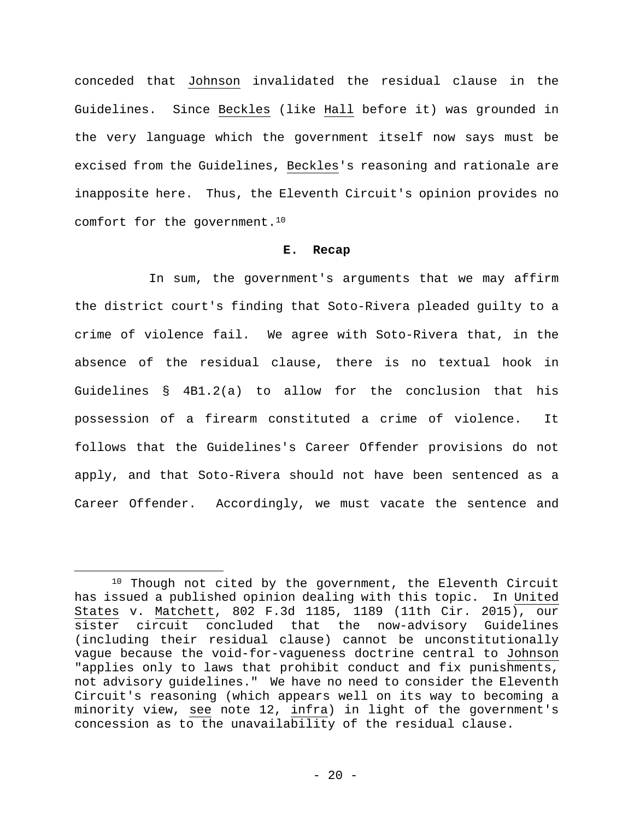conceded that Johnson invalidated the residual clause in the Guidelines. Since Beckles (like Hall before it) was grounded in the very language which the government itself now says must be excised from the Guidelines, Beckles's reasoning and rationale are inapposite here. Thus, the Eleventh Circuit's opinion provides no comfort for the government.10

## **E. Recap**

In sum, the government's arguments that we may affirm the district court's finding that Soto-Rivera pleaded guilty to a crime of violence fail. We agree with Soto-Rivera that, in the absence of the residual clause, there is no textual hook in Guidelines § 4B1.2(a) to allow for the conclusion that his possession of a firearm constituted a crime of violence. It follows that the Guidelines's Career Offender provisions do not apply, and that Soto-Rivera should not have been sentenced as a Career Offender. Accordingly, we must vacate the sentence and

<sup>&</sup>lt;sup>10</sup> Though not cited by the government, the Eleventh Circuit has issued a published opinion dealing with this topic. In United States v. Matchett, 802 F.3d 1185, 1189 (11th Cir. 2015), our sister circuit concluded that the now-advisory Guidelines (including their residual clause) cannot be unconstitutionally vague because the void-for-vagueness doctrine central to Johnson "applies only to laws that prohibit conduct and fix punishments, not advisory guidelines." We have no need to consider the Eleventh Circuit's reasoning (which appears well on its way to becoming a minority view, see note 12, infra) in light of the government's concession as to the unavailability of the residual clause.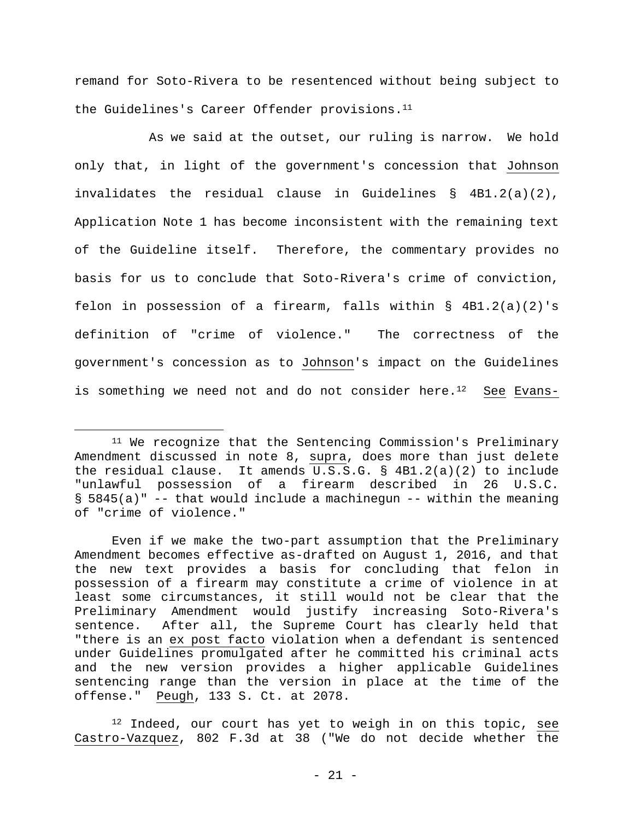remand for Soto-Rivera to be resentenced without being subject to the Guidelines's Career Offender provisions.<sup>11</sup>

As we said at the outset, our ruling is narrow. We hold only that, in light of the government's concession that Johnson invalidates the residual clause in Guidelines § 4B1.2(a)(2), Application Note 1 has become inconsistent with the remaining text of the Guideline itself. Therefore, the commentary provides no basis for us to conclude that Soto-Rivera's crime of conviction, felon in possession of a firearm, falls within § 4B1.2(a)(2)'s definition of "crime of violence." The correctness of the government's concession as to Johnson's impact on the Guidelines is something we need not and do not consider here. $^{12}$  See Evans-

<sup>11</sup> We recognize that the Sentencing Commission's Preliminary Amendment discussed in note 8, supra, does more than just delete the residual clause. It amends U.S.S.G. § 4B1.2(a)(2) to include "unlawful possession of a firearm described in 26 U.S.C.  $\S$  5845(a)" -- that would include a machinegun -- within the meaning of "crime of violence."

Even if we make the two-part assumption that the Preliminary Amendment becomes effective as-drafted on August 1, 2016, and that the new text provides a basis for concluding that felon in possession of a firearm may constitute a crime of violence in at least some circumstances, it still would not be clear that the Preliminary Amendment would justify increasing Soto-Rivera's sentence. After all, the Supreme Court has clearly held that "there is an ex post facto violation when a defendant is sentenced under Guidelines promulgated after he committed his criminal acts and the new version provides a higher applicable Guidelines sentencing range than the version in place at the time of the offense." Peugh, 133 S. Ct. at 2078.

 $12$  Indeed, our court has yet to weigh in on this topic, see Castro-Vazquez, 802 F.3d at 38 ("We do not decide whether the